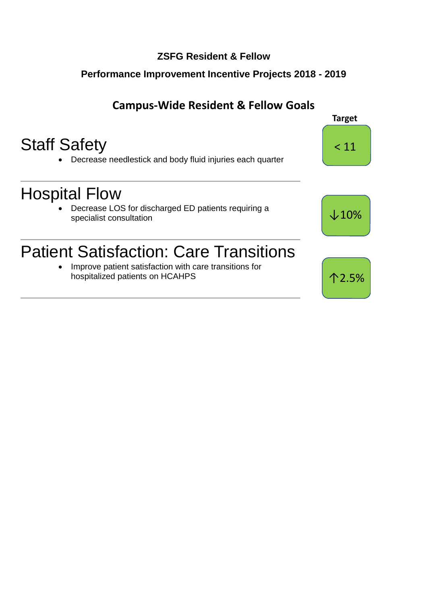### **ZSFG Resident & Fellow**

### **Performance Improvement Incentive Projects 2018 - 2019**

## **Campus-Wide Resident & Fellow Goals**